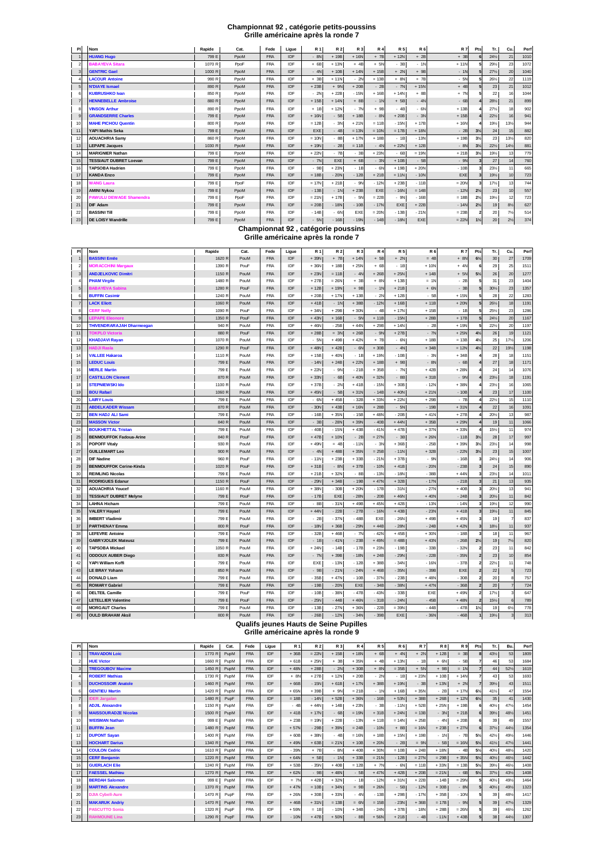## **Championnat 92 , catégorie petits-poussins Grille américaine après la ronde 7**

| <b>PI</b>        | Nom                            | Rapide | Cat. | Fede       | Ligue | <b>R1</b>                                                                | <b>R2</b> | R 3     | <b>R4</b> | <b>R5</b> | <b>R6</b> | <b>R7</b> | Pts            | Tr.             | Cu.            | Pert |
|------------------|--------------------------------|--------|------|------------|-------|--------------------------------------------------------------------------|-----------|---------|-----------|-----------|-----------|-----------|----------------|-----------------|----------------|------|
| 1                | <b>HUANG Hugo</b>              | 799 E  | PpoM | <b>FRA</b> | IDF   | $-8N$                                                                    | $+19B$    | $+16N$  | $+ 7B$    | $+12N$    | $+2B$     | $+3B$     |                | 24%             | 21             | 1010 |
| $\mathfrak{p}$   | <b>BABAYEVA Sitara</b>         | 1070 R | PpoF | <b>FRA</b> | IDF   | $+6B$                                                                    | $+13N$    | $+4B$   | $+ 5N$    | $-3B$     | $-1N$     | $+11N$    |                | 29%             | 23             | 1072 |
| 3                | <b>GENTRIC Gael</b>            | 1000 R | PpoM | <b>FRA</b> | IDF   | $-4N$                                                                    | $+10B$    | $+14N$  | $+15B$    | $+ 2N$    | $+9B$     | $-1N$     |                | 27%             | 20             | 1040 |
| $\overline{a}$   | <b>LACOUR Antoine</b>          | 990 R  | PpoM | <b>FRA</b> | IDF   | $+ 3B$                                                                   | $+11N$    | $-2N$   | $+13B$    | $+ 8N$    | $+ 7B$    | $-5N$     |                | 261/2           | 22             | 1119 |
| 5                | <b>N'DIAYE Ismael</b>          | 890 R  | PpoM | <b>FRA</b> | IDF   | $+23B$                                                                   | $+ 9N$    | $+20B$  | $-2B$     | $-7N$     | $+15N$    | $+4B$     |                | 23              | 21             | 1012 |
| 6                | <b>KUBRUSHKO Ivan</b>          | 850 R  | PpoM | <b>FRA</b> | IDF   | $-2N$                                                                    | $+22B$    | $-15N$  | $+16B$    | $+14N$    | $+8B$     | $+ 7N$    |                | 22              | 16             | 1044 |
| $\overline{7}$   | <b>HENNEBELLE Ambroise</b>     | 880 R  | PpoM | <b>FRA</b> | IDF   | $+15B$                                                                   | $+14N$    | $+8B$   | $-1N$     | $+5B$     | $-4N$     | $-6B$     |                | 281/2           | 21             | 899  |
| 8                | <b>VINSON Arthur</b>           | 890 R  | PpoM | <b>FRA</b> | IDF   | $+1B$                                                                    | $+12N$    | $-7N$   | $+9B$     | $-4B$     | $-6N$     | $+13B$    |                | 27%             | 18             | 902  |
| $\mathbf{Q}$     | <b>GRANDSERRE Charles</b>      | 799 E  | PpoM | <b>FRA</b> | IDF   | $+16N$                                                                   | $-5B$     | $+18B$  | $-8N$     | $+20B$    | $-3N$     | $+15B$    |                | $22\frac{1}{2}$ | 16             | 941  |
| 10               | <b>MAHE PICHOU Quentin</b>     | 800 R  | PpoM | <b>FRA</b> | IDF   | $= 12B$                                                                  | $-3N$     | $+21N$  | $= 11B$   | $-15N$    | $+17B$    | $+16N$    |                | 19%             | 13%            | 944  |
| 11               | YAPI Mathis Seka               | 799 E  | PpoM | <b>FRA</b> | IDF   | EXE                                                                      | $-4B$     | $= 13N$ | $= 10N$   | $= 17B$   | $+18N$    | $-2B$     | $3\frac{1}{2}$ | 24              | 15             | 882  |
| 12               | <b>AOUACHRIA Samy</b>          | 860 R  | PpoM | <b>FRA</b> | IDF   | $= 10N$                                                                  | $-8B$     | $+17N$  | $+18B$    | $-1B$     | $-13N$    | $+19B$    | $3\frac{1}{2}$ | 23              | 13%            | 820  |
| 13               | <b>LEPAPE Jacques</b>          | 1030 R | PpoM | <b>FRA</b> | IDF   | $+19N$                                                                   | $-2B$     | $= 11B$ | $-4N$     | $+22N$    | $+12B$    | $-8N$     | $3\frac{1}{2}$ | 22%             | 14%            | 881  |
| 14               | <b>MARIGNIER Nathan</b>        | 799 E  | PpoM | <b>FRA</b> | IDF   | $+22N$                                                                   | $-7B$     | $-3B$   | $+23N$    | $-6B$     | $= 19N$   | $+21B$    | $3\frac{1}{2}$ | 19%             | 13             | 779  |
| 15 <sup>15</sup> | <b>TESSIAUT DUBRET Loevan</b>  | 799 E  | PpoM | <b>FRA</b> | IDF   | $-7N$                                                                    | EXE       | $+6B$   | $-3N$     | $+10B$    | $-5B$     | $-9N$     |                | 27              | 14             | 760  |
| 16               | <b>TAPSOBA Hadrien</b>         | 799 E  | PpoM | <b>FRA</b> | IDF   | $-9B$                                                                    | $+23N$    | $-1B$   | $-6N$     | $+19B$    | $+20N$    | $-10B$    |                | 23%             | 11             | 665  |
| 17               | <b>KANDA Enzo</b>              | 799 E  | PpoM | <b>FRA</b> | IDF   | $= 18B$                                                                  | $-20N$    | $-12B$  | $+21B$    | $= 11N$   | $-10N$    | EXE       |                | 19%             | 10             | 723  |
| 18               | <b>WANG Laura</b>              | 799 E  | PpoF | <b>FRA</b> | IDF   | $= 17N$                                                                  | $+21B$    | $-9N$   | $-12N$    | $+23B$    | $-11B$    | $= 20N$   |                | 17%             | 13             | 744  |
| 19               | <b>AMINI Nykou</b>             | 799 E  | PpoM | <b>FRA</b> | IDF   | $-13B$                                                                   | $-1N$     | $+23B$  | EXE       | $-16N$    | $= 14B$   | $-12N$    | $2\frac{1}{2}$ | 23              | 10             | 557  |
| 20               | <b>PAWULU DEWAGE Shamendra</b> | 799 E  | PpoF | <b>FRA</b> | IDF   | $= 21N$                                                                  | $+17B$    | $-5N$   | $= 22B$   | $-9N$     | $-16B$    | $= 18B$   | $2\frac{1}{2}$ | 19%             | 12             | 723  |
| 21               | <b>DIF Adam</b>                | 799 E  | PpoM | <b>FRA</b> | IDF   | $= 20B$                                                                  | $-18N$    | $-10B$  | $-17N$    | EXE       | $+22B$    | $-14N$    | $2\frac{1}{2}$ | 19              | $8\frac{1}{2}$ | 627  |
| 22               | <b>BASSINI TIII</b>            | 799 E  | PpoM | <b>FRA</b> | IDF   | $-14B$                                                                   | $-6N$     | EXE     | $= 20N$   | $-13B$    | $-21N$    | $= 23B$   |                | 20              | $7\frac{1}{2}$ | 514  |
| 23               | <b>DE LOISY Wandrille</b>      | 799 E  | PpoM | <b>FRA</b> | IDF   | $-5N$                                                                    | $-16B$    | $-19N$  | $-14B$    | $-18N$    | EXE       | $= 22N$   | $1\frac{1}{2}$ | 20              | $2\frac{1}{2}$ | 374  |
|                  |                                |        |      |            |       | Championnat 92, catégorie poussins<br>Grille américaine après la ronde 7 |           |         |           |           |           |           |                |                 |                |      |

| PI              | Nom                              | Rapide | Cat.                                   | Fede       | Ligue      | R 1    | <b>R2</b> | R 3     | <b>R4</b> | <b>R5</b> | <b>R6</b> | <b>R7</b> | Pts                     | Tr.    | Cu              | Pert    |
|-----------------|----------------------------------|--------|----------------------------------------|------------|------------|--------|-----------|---------|-----------|-----------|-----------|-----------|-------------------------|--------|-----------------|---------|
| $\mathbf{1}$    | <b>BASSINI Emile</b>             | 1620 R | PouM                                   | <b>FRA</b> | IDF        | $+39N$ | $+ 7B$    | $+ 14N$ | $+ 5B$    | $+ 2N$    | $= 4B$    | $+ 8N$    | $6\frac{1}{2}$          | $30\,$ | 27              | 1709    |
| $\overline{2}$  | <b>MORACCHINI Margaux</b>        | 1390 R | PouF                                   | <b>FRA</b> | IDF        | $+36N$ | $+18B$    | $+25N$  | $+6B$     | $-1B$     | $+10N$    | $+ 4N$    |                         | 29     | 25              | 1511    |
| 3 <sub>l</sub>  | <b>ANDJELKOVIC Dimitri</b>       | 1150 R | PouM                                   | <b>FRA</b> | IDF        | $+23N$ | $= 11B$   | $-4N$   | $+26B$    | $+25N$    | $+14B$    | $+ 5N$    | 5%                      | $26\,$ | 20              | 1277    |
| $\overline{4}$  | <b>PHAM Virgile</b>              | 1480 R | PouM                                   | <b>FRA</b> | IDF        | $+27B$ | $= 26N$   | $+3B$   | $+8$      | $+13B$    | $= 10$    | $-2B$     |                         | 31     | 23              | 1404    |
| 5               | <b>BABAYEVA Sabina</b>           | 1280 R | PouF                                   | <b>FRA</b> | IDF        | $+12B$ | $+19N$    | $+9B$   | $-1N$     | $+21B$    | $+ 6N$    | $-3B$     | 5                       | 30%    | 23              | 1357    |
| 6               | <b>BUFFIN Casimir</b>            | 1240 R | PouM                                   | <b>FRA</b> | IDF        | $+20B$ | $+17N$    | $+13B$  | $-20$     | $+12B$    | $-5B$     | $+15N$    | 5                       | 28     | $\overline{22}$ | 1283    |
| $\overline{7}$  | <b>LACK Eliott</b>               | 1060 R | PouM                                   | <b>FRA</b> | IDF        | $+41B$ | $-1N$     | $+38B$  | $-12N$    | $+16B$    | $+11B$    | $+20N$    | 5                       | 261/2  | 18              | 1191    |
| 8               | <b>CERF Nelly</b>                | 1090 R | PouF                                   | <b>FRA</b> | IDF        | $+34N$ | $+29B$    | $+300$  | $-4B$     | $+ 17N$   | $+15B$    | $-1B$     |                         | 25%    | 23              | 1286    |
| 9               | <b>LEPAPE Eleonore</b>           | 1350 R | PouF                                   | <b>FRA</b> | IDF        | $+43N$ | $+16B$    | $-5N$   | $+11B$    | $-15N$    | $+28B$    | $+17B$    |                         | 24%    | 20              | 1167    |
| 10 <sub>1</sub> | <b>THIVENDRARAJAH Dharmeegan</b> | 940 R  | PouM                                   | <b>FRA</b> | IDF        | $+46N$ | $-25B$    | $+44$   | $+29B$    | $+ 14N$   | $-2E$     | $+19N$    |                         | 22%    | 20              | 1197    |
| 11              | <b>TOKPLO Victoria</b>           | 880 R  | PouF                                   | <b>FRA</b> | IDF        | $+28B$ | $= 3N$    | $+26B$  | $-9N$     | $+27B$    | $-7N$     | $+25N$    | 4 <sup>1</sup>          | 26     | 19              | 1121    |
| 12              | <b>KHADJAVI Rayan</b>            | 1070 R | PouM                                   | <b>FRA</b> | IDF        | $-5N$  | $+49B$    | $+42N$  | $+ 7B$    | $-6N$     | $+18B$    | $= 13B$   | $4\frac{1}{2}$          | 25     | 17%             | 1206    |
| 13              | <b>HADJI Rasla</b>               | 1290 R | PouF                                   | FRA        | IDF        | $+48N$ | $+42B$    | $-6N$   | $+30B$    | $-4N$     | $+34B$    | $= 12N$   | $4\frac{1}{2}$          | 22     | 19%             | 1198    |
| 14              | <b>VALLEE Hakaroa</b>            | 1110 R | PouM                                   | <b>FRA</b> | IDF        | $+15B$ | $+40N$    | $-1B$   | $+19N$    | $-10B$    | $-3N$     | $+34B$    | 4                       | 28     | 18              | 1151    |
| 15              | <b>LEDUC Louis</b>               | 799 E  | PouM                                   | <b>FRA</b> | <b>IDF</b> | $-14N$ | $+24B$    | $+22N$  | $+18B$    | $+9B$     | $-8N$     | $-6B$     |                         | 27     | 18              | 1171    |
| 16              | <b>MERLE Martin</b>              | 799 E  | PouM                                   | <b>FRA</b> | IDF        | $+22N$ | $-9N$     | $-21B$  | $+35B$    | $-7N$     | $+42B$    | $+28N$    |                         | 24     | 14              | 1076    |
| 17              | <b>CASTILLON Clement</b>         | 870 R  | PouM                                   | <b>FRA</b> | IDF        | $+33N$ | $-6B$     | $+40N$  | $+32N$    | - 8B      | $+31B$    | $-9N$     |                         | 231/2  | 18              | 1191    |
| 18              | <b>STEPNIEWSKI Ido</b>           | 1100 R | PouM                                   | <b>FRA</b> | IDF        | $+37B$ | $-2N$     | $+41B$  | $-15N$    | $+30B$    | $-12N$    | $+38N$    |                         | 23%    | 16              | 1065    |
| 19              | <b>BOU Rafael</b>                | 1060 R | PouM                                   | <b>FRA</b> | IDF        | $+45N$ | $-5B$     | $+31N$  | $-14B$    | $+40N$    | $+21N$    | $-10B$    |                         | 23     | 17              | 1100    |
| 20              | <b>LAIRY Louis</b>               | 799 E  | PouM                                   | <b>FRA</b> | IDF        | $-6N$  | $+45B$    | $-32B$  | $+33N$    | $+22N$    | $+29B$    | $-7B$     |                         | 22%    | 15              | 1110    |
| 21              | <b>ABDELKADER Wissam</b>         | 870 R  | PouM                                   | <b>FRA</b> | IDF        | $-30N$ | $+43B$    | $+16N$  | $+28B$    | $-5N$     | $-19B$    | $+31N$    |                         | 22     | 16              | 1091    |
| 22              | <b>BEN HADJ ALI Sami</b>         | 799 E  | PouM                                   | <b>FRA</b> | IDF        | $-16B$ | $+35N$    | $-15B$  | $+48N$    | $-20B$    | $+41N$    | $+27B$    |                         | 20%    | 13              | 987     |
| 23              | <b>MASSON Victor</b>             | 840 R  | PouM                                   | <b>FRA</b> | IDF        | $-3B$  | $-28N$    | $+39N$  | $-40B$    | $+44N$    | $+35E$    | $+29N$    |                         | 19     | 11              | 1066    |
| 24              | <b>BOUKHETTAL Tristan</b>        | 799 E  | PouM                                   | <b>FRA</b> | IDF        | $-40B$ | $-15N$    | $+43B$  | $-41N$    | $+47B$    | $+37N$    | $+33N$    |                         | 15%    | 11              | 974     |
| 25              | <b>BENMOUFFOK Fadoua-Arine</b>   | 840 R  | PouF                                   | <b>FRA</b> | IDF        | $+47B$ | $+10N$    | $-2B$   | $= 27N$   | $-3B$     | $+26N$    | $-11B$    | 3%                      | 28     | 17              | 997     |
| 26              | <b>POPOFF Vitaly</b>             | 930 R  | PouM                                   | <b>FRA</b> | IDF        | $+49N$ | $= 4B$    | $-11N$  | $-3N$     | $+36B$    | $-25B$    | $+39N$    | 3%                      | 23%    | 14              | 998     |
| 27              | <b>GUILLEMART Leo</b>            | 900 R  | PouM                                   | <b>FRA</b> | IDF        | $-4N$  | $+48B$    | $+35N$  | $= 25B$   | $-11N$    | $+32E$    | $-22N$    | $3\frac{1}{2}$          | 23     | 15              | 1007    |
| 28              | <b>DIF Nadine</b>                | 960 R  | PouF                                   | <b>FRA</b> | IDF        | $-11N$ | $+23B$    | $+33B$  | $-21N$    | $+37B$    | $-9N$     | $-16E$    | 3                       | 24%    | 14              | 906     |
| 29              | <b>BENMOUFFOK Cerine-Kinda</b>   | 1020 R | PouF                                   | <b>FRA</b> | IDF        | $+31B$ | $-8N$     | $+37B$  | $-10N$    | $+41B$    | $-20N$    | $-23B$    |                         | 24     | 15              | 890     |
| 30              | <b>REIMLING Nicolas</b>          | 799 E  | PouM                                   | <b>FRA</b> | IDF        | $+21B$ | $+32N$    | $-8B$   | $-13N$    | $-18N$    | $-38B$    | $+44N$    |                         | 231/2  | 14              | $101 -$ |
| 31              | <b>RODRIGUES Edanur</b>          | 1150 R | PouF                                   | <b>FRA</b> | IDF        | $-29N$ | $+34B$    | $-19B$  | $+47N$    | $+32B$    | $-17N$    | $-21B$    | 3                       | 21     | 13              | 935     |
| 32              | <b>AOUACHRIA Youcef</b>          | 1160 R | PouM                                   | <b>FRA</b> | IDF        | $+38N$ | $-30B$    | $+20N$  | $-17B$    | $-31N$    | $-27N$    | $+40B$    |                         | 20%    | 13              | 94      |
| 33              | <b>TESSIAUT DUBRET Melvne</b>    | 799 E  | PouF                                   | <b>FRA</b> | IDF        | $-17B$ | EXE       | $-28N$  | $-20B$    | $+46N$    | $+40N$    | $-24B$    |                         | 20%    | 11              | 842     |
| 34              | <b>LAHNA Hicham</b>              | 799 E  | PouM                                   | <b>FRA</b> | IDF        | $-8B$  | $-31N$    | $+49B$  | $+45N$    | $+42B$    | $-13N$    | $-14N$    | 3                       | 19%    | 12              | 990     |
| 35              | <b>VALERY Hayael</b>             | 799 E  | PouM                                   | <b>FRA</b> | IDF        | $+44N$ | $-22B$    | $-27B$  | $-16N$    | $+43B$    | $-23N$    | $+41B$    |                         | 19%    | 11              | 845     |
| 36              | <b>IMBERT Vladimir</b>           | 799 E  | PouM                                   | <b>FRA</b> | IDF        | $-2B$  | $-37N$    | $-48B$  | EXE       | $-26N$    | $+49B$    | $+45N$    | 3                       | 19     |                 | 837     |
| 37              | <b>PARTHENAY Emma</b>            | 800 R  | PouF                                   | <b>FRA</b> | IDF        | $-18N$ | $+36B$    | $-29N$  | $+44B$    | $-28N$    | $-24B$    | $+42N$    |                         | 18%    | 11              | 937     |
| 38              | <b>LEFEVRE Antoine</b>           | 799 E  | PouM                                   | <b>FRA</b> | IDF        | $-32B$ | $+46B$    | $-7N$   | $-42N$    | $+45B$    | $+30N$    | $-18B$    |                         | 18     | 11              | 967     |
| 39              | <b>GABRYJOLEK Mateusz</b>        | 799 E  | PouM                                   | <b>FRA</b> | IDF        | $-1B$  | $-41N$    | $-23B$  | $+49N$    | $= 48B$   | $+43N$    | $-26B$    | $2\frac{1}{2}$          | 19     | 7%              | 820     |
| 40              | <b>TAPSOBA Mickael</b>           | 1050 R | PouM                                   | <b>FRA</b> | IDF        | $+24N$ | $-14B$    | $-17B$  | $+23N$    | $-19B$    | $-33E$    | $-32N$    | $\overline{\mathbf{2}}$ | 23     | 11              | 842     |
| 41              | <b>ODDOUX AUBER Diego</b>        | 830 R  | PouM                                   | <b>FRA</b> | IDF        | $-7N$  | $+39B$    | $-18N$  | $+24B$    | $-29N$    | $-22E$    | $-35N$    | $\overline{2}$          | 23     | 10              | 854     |
| 42              | YAPI William Koffi               | 799 E  | PouM                                   | <b>FRA</b> | IDF        | EXE    | $-13N$    | $-12B$  | $+38B$    | $-34N$    | $-16N$    | $-37B$    | $\overline{2}$          | 22%    | 11              | 748     |
| 43              | <b>LE BRAY Yohann</b>            | 850 R  | PouM                                   | <b>FRA</b> | IDF        | $-9B$  | $-21N$    | $-24N$  | $+46B$    | $-35N$    | $-39B$    | EXE       | $\overline{2}$          | 22     | 5               | 723     |
| 44              | <b>DONALD Liam</b>               | 799 E  | PouM                                   | <b>FRA</b> | IDF        | $-35B$ | $+47N$    | $-10B$  | $-37N$    | $-23B$    | $+48N$    | $-30B$    |                         | 20     | 8               | 757     |
| 45              | <b>ROMARY Gabriel</b>            | 799 E  | PouM                                   | <b>FRA</b> | IDF        | $-19B$ | $-20N$    | EXE     | $-34B$    | $-38N$    | $+47N$    | $-36B$    | $\overline{2}$          | 20     |                 | 724     |
| 46              | <b>DELTEIL Camille</b>           | 799 E  | PouF                                   | <b>FRA</b> | IDF        | $-10B$ | $-38N$    | $-47B$  | $-43N$    | $-33B$    | EXE       | $+49N$    |                         | 17%    | з               | 647     |
| 47              | <b>LETELLIER Valentine</b>       | 799 E  | PouF                                   | <b>FRA</b> | IDF        | $-25N$ | $-44B$    | $+46N$  | $-31B$    | $-24N$    | $-45B$    | $+48N$    |                         | 15%    |                 | 789     |
| 48              | <b>MORGAUT Charles</b>           | 799 E  | PouM                                   | <b>FRA</b> | IDF        | $-13B$ | $-27N$    | $+36N$  | $-22B$    | $= 39N$   | $-44B$    | $-47B$    | $1\%$                   | 19     | 6%              | 778     |
| 49              | <b>OULD BRAHAM Aksil</b>         | 800 R  | PouM                                   | <b>FRA</b> | <b>IDF</b> | $-26B$ | $-12N$    | $-34N$  | $-39B$    | EXE       | $-36N$    | $-46B$    |                         | 19%    |                 | 313     |
|                 |                                  |        | Qualifs ieunes Hauts de Seine Pupilles |            |            |        |           |         |           |           |           |           |                         |        |                 |         |

# **Grille américaine après la ronde 9**

| PI             | Nom                         | Rapide | Cat. | Fede       | Ligue      | <b>R1</b> | <b>R2</b> | <b>R3</b> | <b>R4</b> | <b>R5</b> | <b>R6</b> | <b>R7</b> | <b>R8</b> | <b>R9</b> | Pts            | Tr.             | Bu. | Perf |
|----------------|-----------------------------|--------|------|------------|------------|-----------|-----------|-----------|-----------|-----------|-----------|-----------|-----------|-----------|----------------|-----------------|-----|------|
| $\overline{1}$ | <b>TRAVADON Loic</b>        | 1770 R | PupM | <b>FRA</b> | <b>IDF</b> | $+36B$    | $= 22N$   | $+15B$    | $+18N$    | $+6B$     | $+4N$     | $+ 2N$    | $+12B$    | $= 3B$    |                | 431/2           | 53  | 1809 |
| $\overline{2}$ | <b>HUE Victor</b>           | 1660 R | PupM | <b>FRA</b> | IDF        | $+61B$    | $+25N$    | $+3B$     | $+35N$    | $+4B$     | $+13N$    | $-1B$     | $+ 6N$    | $-5B$     |                | 46              | 53  | 1684 |
| 3              | <b>TREGOUBOV Maxime</b>     | 1450 R | PupM | <b>FRA</b> | <b>IDF</b> | $+48N$    | $+28B$    | $-2N$     | $+30B$    | $+ 8N$    | $= 35B$   | $+ 5N$    | $+ 9B$    | $= 1N$    |                | 44              | 52% | 1619 |
| 4              | <b>ROBERT Mathias</b>       | 1730 R | PupM | <b>FRA</b> | IDF        | $+ 8N$    | $+27B$    | $+12N$    | $+20B$    | $-2N$     | $-1B$     | $+23N$    | $+10B$    | $+14N$    |                | 43              | 53  | 1693 |
| 5              | <b>DUCHOSSOIR Anatole</b>   | 1460 R | PupM | <b>FRA</b> | <b>IDF</b> | $+66B$    | $-15N$    | $+61B$    | $+17N$    | $+38B$    | $+19N$    | $-3B$     | $+13N$    | $+ 2N$    |                | 39%             | 43  | 1511 |
| 6              | <b>GENTIEU Martin</b>       | 1420 R | PupM | <b>FRA</b> | IDF        | $+65N$    | $+39B$    | $+ 9N$    | $= 21B$   | $-1N$     | $+16B$    | $+35N$    | $-2B$     | $+17N$    | $6\frac{1}{2}$ | 41%             | 47  | 1554 |
| $\overline{7}$ | <b>DER Jargalan</b>         | 1480 R | PupF | <b>FRA</b> | <b>IDF</b> | $= 18B$   | $-14N$    | $+52B$    | $+36N$    | $-16B$    | $+53N$    | $+38B$    | $+26B$    | $+12N$    | $6\frac{1}{2}$ | 35              | 41  | 1430 |
| 8              | <b>ADJIL Alexandre</b>      | 1150 R | PupM | <b>FRA</b> | IDF        | $-4B$     | $+44N$    | $+14B$    | $+23N$    | $-3B$     | $-11N$    | $+52B$    | $+25N$    | $+19B$    |                | 40%             | 47% | 1454 |
| 9              | <b>MAISSOURADZE Nicolas</b> | 1500 R | PupM | <b>FRA</b> | IDF        | $+41B$    | $+17N$    | $-6B$     | $= 19N$   | $+31B$    | $+24N$    | $= 13B$   | $-3N$     | $+21B$    |                | 391/2           | 48% | 1451 |
| 10             | <b>WEISMAN Nathan</b>       | 999 E  | PupM | <b>FRA</b> | IDF        | $+23B$    | $= 19N$   | $+22B$    | $-13N$    | $+11B$    | $= 14N$   | $+25B$    | $-4N$     | $+20B$    |                | 39              | 49  | 1557 |
| 11             | <b>BUFFIN Jean</b>          | 1480 R | PupM | <b>FRA</b> | <b>IDF</b> | $+57N$    | $-29B$    | $+39N$    | $= 24B$   | $-10N$    | $+8B$     | $= 16N$   | $+23B$    | $+27N$    |                | 37%             | 44% | 1354 |
| 12             | <b>DUPONT Savan</b>         | 1400 R | PupM | <b>FRA</b> | IDF        | $+60B$    | $+38N$    | $-4B$     | $= 16N$   | $+18B$    | $+15N$    | $+19B$    | $-1N$     | $-7B$     | $5\frac{1}{2}$ | 42%             | 49% | 1446 |
| 13             | <b>HOCHART Darius</b>       | 1340 R | PupM | <b>FRA</b> | IDF        | $+49N$    | $+63B$    | $= 21N$   | $+10B$    | $+20N$    | $-2B$     | $= 9N$    | $-5B$     | $= 16N$   | $5\frac{1}{2}$ | 41%             | 47% | 1441 |
| 14             | <b>COULON Cedric</b>        | 1610 R | PupM | <b>FRA</b> | IDF        | $-39N$    | $+ 7B$    | $-8N$     | $+40B$    | $+30N$    | $= 10B$   | $+24B$    | $+18N$    | $-4B$     | $5\frac{1}{2}$ | 40%             | 48% | 1420 |
| 15             | <b>CERF Benjamin</b>        | 1220 R | PupM | <b>FRA</b> | <b>IDF</b> | $+64N$    | $+ 5B$    | $-1N$     | $+33B$    | $= 21N$   | $-12B$    | $= 27N$   | $= 29B$   | $+35N$    | $5\frac{1}{2}$ | 40%             | 46% | 1442 |
| 16             | <b>GUERLACH Elie</b>        | 1240 R | PupM | <b>FRA</b> | IDF        | $+53B$    | $-35N$    | $+40B$    | $= 12B$   | $+ 7N$    | $-6N$     | $= 11B$   | $+33N$    | $= 13B$   | $5\frac{1}{2}$ | 39%             | 46% | 1408 |
| 17             | <b>FAESSEL Mathieu</b>      | 1270 R | PupM | <b>FRA</b> | <b>IDF</b> | $+62N$    | $-9B$     | $+48N$    | $-5B$     | $+47N$    | $+42B$    | $+20B$    | $= 21N$   | $-6B$     | $5\frac{1}{2}$ | $37\frac{1}{2}$ | 43% | 1408 |
| 18             | <b>BERDAH Salomon</b>       | 999 E  | PupM | <b>FRA</b> | IDF        | $= 7N$    | $+42B$    | $+32N$    | $-1B$     | $-12N$    | $+31N$    | $+22B$    | $-14B$    | $= 29N$   |                | 40%             | 49% | 1464 |
| 19             | <b>MARTINS Alexandre</b>    | 1370 R | PupM | <b>FRA</b> | <b>IDF</b> | $+47N$    | $= 10B$   | $+34N$    | $= 9B$    | $+26N$    | $-5B$     | $-12N$    | $+30B$    | $-8N$     |                | 40%             | 49% | 1323 |
| 20             | <b>DJIA Cybell-Aure</b>     | 1470 R | PupF | <b>FRA</b> | <b>IDF</b> | $+26N$    | $+30B$    | $+33N$    | $-4N$     | $-13B$    | $+29B$    | $-17N$    | $+35B$    | $-10N$    |                | 39              | 48% | 1417 |
| 21             | <b>MAKARUK Andriv</b>       | 1470 R | PupM | <b>FRA</b> | <b>IDF</b> | $+46B$    | $+31N$    | $= 13B$   | $= 6N$    | $= 15B$   | $-23N$    | $+36B$    | $= 17B$   | $-9N$     |                | 39              | 47% | 1329 |
| 22             | <b>PASCUTTO Sonia</b>       | 1320 R | PupF | <b>FRA</b> | <b>IDF</b> | $+59N$    | $= 1B$    | $-10N$    | $+34B$    | $-24N$    | $+37B$    | $-18N$    | $+28B$    | $= 26N$   |                | 39              | 46% | 1262 |
| 23             | <b>RAHMOUNE Lina</b>        | 1290 R | PupF | <b>FRA</b> | <b>IDF</b> | $-10N$    | $+47B$    | $+50N$    | $-8B$     | $+56N$    | $+21B$    | $-4B$     | $-11N$    | $+43B$    |                | 38              | 44% | 1307 |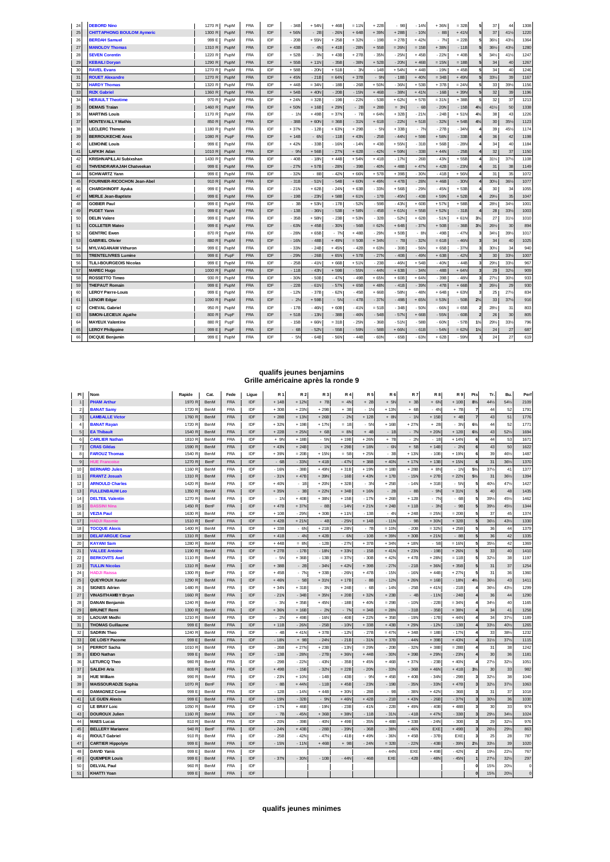| 24 | <b>DEBORD Nino</b>                | 1270 R | PupM | <b>FRA</b> | IDF | - 34B  | $+54N$  | $+46B$  | $= 11N$ | $+22B$  | - 9B    | $-14N$  | $+36N$  | $= 32B$ |                | 37     | 44  | 1308 |
|----|-----------------------------------|--------|------|------------|-----|--------|---------|---------|---------|---------|---------|---------|---------|---------|----------------|--------|-----|------|
| 25 | <b>CHITTAPHONG BOULOM Aymeric</b> | 1300 R | PupM | <b>FRA</b> | IDF | $+56N$ | $-2B$   | $-26N$  | $+64B$  | $+39N$  | $+28B$  | $-10N$  | $-8B$   | $+41N$  | 5              | 37     | 41% | 1220 |
| 26 | <b>BERDAH Samuel</b>              | 999 E  | PupM | <b>FRA</b> | IDF | $-20B$ | $+55N$  | $+25B$  | $+32N$  | $-19B$  | $=27B$  | $+42N$  | $-7N$   | $= 22B$ |                | 36%    | 43% | 1364 |
| 27 | <b>MANOLOV Thomas</b>             | 1310 R | PupM | <b>FRA</b> | IDF | $+43B$ | $-4N$   | $+41B$  | $-28N$  | $+55B$  | $= 26N$ | $= 15B$ | $+38N$  | $-11B$  |                | 36%    | 43% | 1280 |
| 28 | <b>SEVEN Corentin</b>             | 1220 R | PupM | <b>FRA</b> | IDF | $+52B$ | $-3N$   | $+43B$  | $+27B$  | $-35N$  | $-25N$  | $+45B$  | - 22N   | $+40B$  |                | 34%    | 41% | 1247 |
| 29 | <b>KEBAILI Doryan</b>             | 1290 R | PupM | <b>FRA</b> | IDF | $+55B$ | $+11N$  | $-35B$  | $-38N$  | $+52B$  | $-20N$  | $+46B$  | $= 15N$ | $= 18B$ |                | 34     | 40  | 1267 |
| 30 | <b>RAVEL Evans</b>                | 1270 R | PupM | <b>FRA</b> | IDF | $+58B$ | $-20N$  | $+51B$  | $-3N$   | $-14B$  | $+54N$  | $+44B$  | $-19N$  | $+45B$  |                | 34     | 40  | 1246 |
| 31 | <b>ROUET Alexandre</b>            | 1270 R | PupM | <b>FRA</b> | IDF | $+45N$ | $-21B$  | $= 64N$ | $+37B$  | $-9N$   | $-18B$  | $+40N$  | $= 34B$ | $+49N$  |                | 33%    | 39  | 1167 |
| 32 | <b>HARDY Thomas</b>               | 1320 R | PupM | <b>FRA</b> | IDF | $+44B$ | $= 34N$ | $-18B$  | $-26B$  | $+50N$  | $-36N$  | $+53B$  | $+37B$  | $= 24N$ |                | 33     | 39% | 1156 |
| 33 | <b>RIZK Gabriel</b>               | 1360 F | PupM | <b>FRA</b> | IDF | $+54B$ | $+40N$  | $-20B$  | $-15N$  | $+46B$  | $-38N$  | $+41N$  | $-16B$  | $+39N$  |                | 32     | 39  | 1196 |
| 34 | <b>HERAULT Theotime</b>           | 970 R  | PupM | <b>FRA</b> | IDF | $+24N$ | $= 32B$ | $-19B$  | $-22N$  | $-53B$  | $+62N$  | $+57B$  | $= 31N$ | $+38B$  |                | 32     | 37  | 1213 |
| 35 | <b>DEMAIS Traian</b>              | 1460 R | PupM | <b>FRA</b> | IDF | $+50N$ | $+16B$  | $+29N$  | $-2B$   | $+28B$  | $= 3N$  | $-6E$   | $-20N$  | $-15B$  | $4\frac{1}{2}$ | 41%    | 50  | 1338 |
| 36 | <b>MARTINS Louis</b>              | 1170 R | PupM | <b>FRA</b> | IDF | $-1N$  | $+49B$  | $= 37N$ | $-7B$   | $+64N$  | $+32B$  | $-21N$  | $-24B$  | $+51N$  | 4%             | 38     | 43  | 1226 |
| 37 | <b>MONTEVALLY Mathis</b>          | 850 R  | PupM | <b>FRA</b> | IDF | $-38B$ | $+60N$  | $= 36B$ | $-31N$  | $+61B$  | $-22N$  | $+51B$  | $-32N$  | $+54B$  | 4%             | $30\,$ | 35% | 1123 |
| 38 | <b>LECLERC Thimote</b>            | 1180 R | PupM | <b>FRA</b> | IDF | $+37N$ | $-12B$  | $+63N$  | $+29B$  | $-5N$   | $+33B$  | $-7N$   | $-27B$  | $-34N$  |                | 39     | 45% | 1174 |
| 39 | <b>BERROUKECHE Anes</b>           | 1080 R | PupF | <b>FRA</b> | IDF | $+14B$ | $-6N$   | $-11B$  | $+43N$  | $-25B$  | $-44N$  | $+59B$  | $+58N$  | $-33B$  |                | 36     | 42  | 1198 |
| 40 | <b>LEMOINE Louis</b>              | 999 E  | PupM | <b>FRA</b> | IDF | $+42N$ | $-33B$  | $-16N$  | $-14N$  | $+43B$  | $+55N$  | $-31B$  | $+56B$  | $-28N$  |                | 34     | 40  | 1184 |
| 41 | <b>LAFKIH Adan</b>                | 1010 R | PupM | <b>FRA</b> | IDF | $-9N$  | $+56B$  | $-27N$  | $+62B$  | $-42N$  | $+59N$  | $-33B$  | $+44N$  | $-25B$  |                | 32     | 37  | 1150 |
| 42 | <b>KRISHNAPILLAI Subixshan</b>    | 1430 R | PupM | <b>FRA</b> | IDF | $-40B$ | $-18N$  | $+44B$  | $+54N$  | $+41B$  | $-17N$  | $-26B$  | $-43N$  | $+55B$  |                | 31%    | 37% | 1108 |
| 43 | THIVENDRARAJAH Chatveekan         | 999 E  | PupM | <b>FRA</b> | IDF | $-27N$ | $+57B$  | $-28N$  | $-39B$  | $-40N$  | $+48B$  | $+47N$  | $+42B$  | $-23N$  |                | 31     | 38  | 1149 |
| 44 | <b>SCHWARTZ Yann</b>              | 999 E  | PupM | <b>FRA</b> | IDF | $-32N$ | - 8B    | - 42N   | $+66N$  | $+57B$  | $+39B$  | $-30N$  | $-41B$  | $+56N$  |                | 31     | 35  | 1072 |
| 45 | FOURNIER-RICOCHON Jean-Abel       | 910 R  | PupM | <b>FRA</b> | IDF | $-31B$ | $-51N$  | $-54B$  | $+60N$  | $+49N$  | $+47B$  | $-28N$  | $+46B$  | $-30N$  |                | 30%    | 36% | 1077 |
| 46 | <b>CHARGHINOFF Ayuka</b>          | 999 E  | PupM | <b>FRA</b> | IDF | $-21N$ | $+62B$  | $-24N$  | $+63B$  | $-33N$  | $+56B$  | $-29N$  | $-45N$  | $+53B$  |                | 30     | 34  | 1055 |
| 47 | <b>MERLE Jean-Baptiste</b>        | 999 E  | PupM | <b>FRA</b> | IDF | $-19B$ | $-23N$  | $+58B$  | $+61N$  | $-17B$  | $-45N$  | $-43B$  | $+59N$  | $+52B$  |                | 29%    | 35  | 1047 |
| 48 | <b>GOBIER Paul</b>                | 999 E  | PupM | <b>FRA</b> | IDF | $-3B$  | $+53N$  | $-17B$  | $-52N$  | $-59B$  | $-43N$  | $+60B$  | $+57N$  | $+58B$  |                | 28%    | 34% | 1001 |
| 49 | <b>PUGET Yann</b>                 | 999 E  | PupM | <b>FRA</b> | IDF | $-13B$ | $-36N$  | $-53B$  | $+58N$  | $-45B$  | $+61N$  | $+55B$  | $+52N$  | $-31B$  |                | 28     | 33% | 1003 |
| 50 | <b>DELIN Valere</b>               | 999 E  | PupM | <b>FRA</b> | IDF | $-35B$ | $+58N$  | $-23B$  | $= 53N$ | $-32B$  | $-52N$  | $+62B$  | $-51N$  | $+61N$  | 3 <sup>1</sup> | 27     | 31% | 1010 |
| 51 | <b>COLLETER Mateo</b>             | 999 E  | PupM | <b>FRA</b> | IDF | $-63N$ | $+45B$  | $-30N$  | $-56B$  | $= 62N$ | $+64B$  | $-37N$  | $+50B$  | $-36B$  | $3\frac{1}{2}$ | 261/2  | 30  | 894  |
| 52 | <b>GENTRIC Ewen</b>               | 870 R  | PupM | <b>FRA</b> | IDF | $-28N$ | $+65B$  | $-7N$   | $+48B$  | $-29N$  | $+50B$  | - 8N    | - 49B   | $-47N$  |                | 34%    | 39% | 1017 |
| 53 | <b>GABRIEL Olivier</b>            | 880 R  | PupM | <b>FRA</b> | IDF | $-16N$ | $-48B$  | $+49N$  | $= 50B$ | $+34N$  | - 7B    | $-32N$  | $= 61B$ | $-46N$  |                | 34     | 40  | 1025 |
| 54 | <b>MYLVAGANAM Vithuron</b>        | 999 E  | PupM | <b>FRA</b> | IDF | $-33N$ | $-24B$  | $+45N$  | $-42B$  | $+63N$  | $-30B$  | $-56N$  | $+65B$  | $-37N$  |                | 30%    | 34  | 940  |
| 55 | <b>TRENTELIVRES Lumine</b>        | 999 E  | PupF | <b>FRA</b> | IDF | $-29N$ | $-26B$  | $+65N$  | $+57B$  | $-27N$  | $-40B$  | $-49N$  | $+63B$  | $-42N$  |                | 30     | 33% | 1007 |
| 56 | <b>TLILI-BOURGEOIS Nicolas</b>    | 999 E  | PupM | <b>FRA</b> | IDF | $-25B$ | $-41N$  | $+66B$  | $+51N$  | $-23B$  | $-46N$  | $+54B$  | $-40N$  | $-44B$  |                | 29%    | 33% | 967  |
| 57 | <b>MAREC Hugo</b>                 | 1000 R | PupM | <b>FRA</b> | IDF | $-11B$ | $-43N$  | $+59B$  | $-55N$  | $-44N$  | $+63B$  | $-34N$  | $-48B$  | $+64N$  |                | 29     | 32% | 909  |
| 58 | <b>ROSSETTO Timeo</b>             | 930 R  | PupM | <b>FRA</b> | IDF | $-30N$ | $-50B$  | $-47N$  | $-49B$  | $+65N$  | $+60B$  | $+64N$  | $-39B$  | $-48N$  |                | 27%    | 30% | 933  |
| 59 | <b>THEPAUT Romain</b>             | 999 E  | PupM | <b>FRA</b> | IDF | $-22B$ | $-61N$  | $-57N$  | $+65B$  | $+48N$  | $-41B$  | $-39N$  | $-47B$  | $+66B$  |                | 261/2  | 29  | 930  |
| 60 | <b>LEROY Pierre-Louis</b>         | 999 E  | PupM | <b>FRA</b> | IDF | $-12N$ | $-37B$  | $-62N$  | $-45B$  | $+66B$  | $-58N$  | $-48N$  | $+64B$  | $+63N$  |                | 25     | 27% | 834  |
| 61 | <b>LENOIR Edgar</b>               | 1090 R | PupM | <b>FRA</b> | IDF | $-2N$  | $+59B$  | $-5N$   | $-47B$  | $-37N$  | $-49B$  | $+65N$  | $= 53N$ | $-50B$  | $2\frac{1}{2}$ | 33     | 37% | 916  |
| 62 | <b>CHEVAL Gabriel</b>             | 950 R  | PupM | <b>FRA</b> | IDF | $-17B$ | $-46N$  | $+60B$  | $-41N$  | $= 51B$ | $-34B$  | $-50N$  | - 66N   | $= 65B$ |                | 28%    | 31  | 803  |
| 63 | SIMON-LECIEUX Agathe              | 800 F  | PupF | <b>FRA</b> | IDF | $+51B$ | $-13N$  | $-38B$  | $-46N$  | $-54B$  | $-57N$  | $+66B$  | $-55N$  | $-60B$  |                | 26     | 30  | 805  |
| 64 | <b>MAYEUX Valentine</b>           | 880 R  | PupF | <b>FRA</b> | IDF | $-15B$ | $+66N$  | $= 31B$ | $-25N$  | $-36B$  | $-51N$  | $-58B$  | $-60N$  | $-57B$  | 1%             | 29%    | 33% | 796  |
| 65 | <b>LEROY Philippine</b>           | 999 E  | PupF | <b>FRA</b> | IDF | - 6B   | $-52N$  | $-55B$  | $-59N$  | $-58B$  | $+66N$  | $-61B$  | $-54N$  | $= 62N$ | $1\frac{1}{2}$ | 24     | 27  | 687  |
| 66 | <b>DICQUE Benjamin</b>            | 999 E  | PupM | <b>FRA</b> | IDF | $-5N$  | - 64B   | $-56N$  | - 44B   | $-60N$  | $-65B$  | $-63N$  | $+62B$  | $-59N$  |                | 24     | 27  | 619  |

### **qualifs jeunes benjamins Grille américaine après la ronde 9**

| PI             | Nom                        | Rapide | Cat.        | Fede       | Ligue      | R 1    | <b>R2</b> | <b>R3</b> | <b>R4</b> | <b>R5</b> | <b>R6</b>  | <b>R7</b> | <b>R8</b> | <b>R9</b> | Pts                     | Tr.             | Bu.    | Perf         |
|----------------|----------------------------|--------|-------------|------------|------------|--------|-----------|-----------|-----------|-----------|------------|-----------|-----------|-----------|-------------------------|-----------------|--------|--------------|
|                | <b>PHAM Arthur</b>         | 1970 R | BenM        | <b>FRA</b> | <b>IDF</b> | $+14B$ | $+12N$    | $+ 7B$    | $= 4N$    | $+2E$     | $+ 5N$     | $+ 3B$    | $+ 6N$    | $+10B$    | $8\frac{1}{2}$          | 44%             | 54%    | 2109         |
| $\overline{2}$ | <b>BANAT Samy</b>          | 1720 R | BenM        | FRA        | IDF        | $+30E$ | $+23N$    | $+29B$    | $+ 3B$    | $-1$      | $+13N$     | $+ 6B$    | $-4N$     | $+ 7B$    | 7                       | 44              | 52     | 1791         |
| $\sqrt{3}$     | <b>LAMBALLE Victor</b>     | 1760 R | BenM        | <b>FRA</b> | IDF        | $+28B$ | $+13N$    | $+26B$    | $-2N$     | $+12B$    | $+ 8N$     | $-1N$     | $+15B$    | $+4B$     | $\overline{7}$          | 43              | 51     | 1776         |
| $\overline{4}$ | <b>BANAT Rayan</b>         | 1720 R | BenM        | FRA        | IDF        | $+32N$ | $+19B$    | $+17N$    | $= 1B$    | $-5N$     | $+16B$     | $+27N$    | $+2B$     | $-3N$     | 6%                      | 44              | 52     | 1771         |
| 5              | <b>EA Thibault</b>         | 1540 R | BenM        | <b>FRA</b> | IDF        | $+22B$ | $+25N$    | $+6B$     | $= 8N$    | $+4B$     | $-1B$      | $-7N$     | $+20N$    | $+12B$    | 6 <sup>1</sup>          | 43              | 52%    | 1694         |
| 6              | <b>CARLIER Nathan</b>      | 1810 R | BenM        | <b>FRA</b> | IDF        | $+ 9N$ | $+18B$    | $-5N$     | $+19B$    | $+26N$    | $+ 7B$     | $-2N$     | $-18$     | $+14N$    | 6                       | 44              | 53     | 1671         |
| $\overline{7}$ | <b>CRAS Gildas</b>         | 1590 R | BenM        | <b>FRA</b> | <b>IDF</b> | $+43N$ | $+24B$    | $-1N$     | $+29B$    | $+18N$    | $-6N$      | $+ 5B$    | $+14B$    | $-2N$     | 6                       | 43              | 50     | 1622         |
| 8              | <b>FAROUZ Thomas</b>       | 1540 R | BenM        | <b>FRA</b> | IDF        | $+39N$ | $= 20B$   | $+15N$    | $= 5B$    | $+25N$    | $-3B$      | $+13N$    | $-10B$    | $+19N$    | -6                      | 39              | 461/2  | 1487         |
| 9              | <b>IUE Francoise</b>       | 1270 R | BenF        | <b>FRA</b> | IDF        | $-6B$  | $-33N$    | $+41B$    | $-47N$    | $+38B$    | $+40N$     | $+17N$    | $+13B$    | $+15N$    | 6                       | 31              | 361/2  | 1370         |
| 10             | <b>BERNARD Jules</b>       | 1160 R | BenM        | <b>FRA</b> | IDF        | $-16N$ | $-38B$    | $+49N$    | $+31B$    | $+19h$    | $= 18B$    | $+28B$    | $+ 8N$    | $-1N$     | 5%                      | 37%             | 41     | 1377         |
| 11             | <b>FRANTZ Josuah</b>       | 1310 R | BenM        | <b>FRA</b> | IDF        | $-31N$ | $+47B$    | $+39N$    | $-16B$    | $+43N$    | $+17B$     | $-15N$    | $+27B$    | $= 22N$   | 5%                      | 31              | 36%    | 1394         |
| 12             | <b>ARNOULD Charles</b>     | 1420 R | BenM        | <b>FRA</b> | IDF        | $+40N$ | $-1B$     | $+20N$    | $+32B$    | $-30$     | $+25B$     | $-14N$    | $+31B$    | $-5N$     | 5                       | 40%             | 47%    | 1427         |
| 13             | <b>FULLENBAUM Leo</b>      | 1350 R | BenM        | <b>FRA</b> | IDF        | $+35N$ | $-3B$     | $+22N$    | $+34B$    | $+16N$    | $-2B$      | $-8B$     | $-9N$     | $+31N$    | 5                       | 40              | 48     | 1435         |
| 14             | <b>DELTEIL Valentin</b>    | 1270 R | BenM        | <b>FRA</b> | IDF        | $-1N$  | $+40B$    | $+38N$    | $+15B$    | $-17N$    | $+26B$     | $+12B$    | $-7N$     | $-6B$     |                         | 39%             | 45%    | 1462         |
| 15             | <b>BASSINI Nina</b>        | 1450 R | BenF        | FRA        | IDF        | $+47B$ | $+37N$    | $-8B$     | $-14N$    | $+21N$    | $+24B$     | $+11B$    | $-3N$     | - 9B      |                         | 39%             | 451/2  | 1344         |
| 16             | <b>VEZIA Paul</b>          | 1630 R | BenM        | <b>FRA</b> | IDF        | $+10B$ | $-29N$    | $+30B$    | $+11N$    | $-13B$    | $-4N$      | $+24B$    | $= 25N$   | $= 20B$   | 5                       | 37              | 45     | 1374         |
| 17             | <b>IADJI Rasmie</b>        | 1510 R | BenF        | <b>FRA</b> | IDF        | $+42B$ | $+21N$    | $-4B$     | $-25N$    | $+14B$    | $-11N$     | $-9B$     | $+30N$    | $+32B$    | 5                       | 36%             | 43%    | 1330         |
| 18             | <b>TOCQUE Alexis</b>       | 1400 R | BenM        | <b>FRA</b> | IDF        | $+33E$ | $-6N$     | $+21B$    | $+28N$    | $-7E$     | $= 10N$    | $-20B$    | $= 32N$   | $+25B$    | 5                       | 36              | 44     | 1379         |
| 19             | <b>DELAFARGUE Cesar</b>    | 1310 R | BenM        | <b>FRA</b> | <b>IDF</b> | $+41B$ | $-4N$     | $+42B$    | $-6N$     | $-10E$    | $+39N$     | $+30B$    | $+21N$    | $-8B$     |                         | 36              | 42     | 1335         |
| 20             | <b>KAYANI Sam</b>          | 1280 F | BenM        | <b>FRA</b> | IDF        | $+44B$ | $= 8N$    | $-12B$    | $-27N$    | $+37E$    | $+34N$     | $+18N$    | $-5B$     | $= 16N$   | 5                       | 35%             | 42     | 1369         |
| 21             | <b>VALLEE Antoine</b>      | 1190 R | BenM        | <b>FRA</b> | IDF        | $+27B$ | $-17B$    | $-18N$    | $+33N$    | $-15B$    | $+41N$     | $+23N$    | $-19B$    | $+26N$    | 5                       | 33              | 40     | 1410         |
| 22             | <b>BERKOVITS Axel</b>      | 1110 R | BenM        | <b>FRA</b> | IDF        | $-5N$  | $+36B$    | $-13B$    | $= 37N$   | $-30E$    | $+42N$     | $+47B$    | $+28N$    | $= 11B$   |                         | 32%             | 38     | 1197         |
| 23             | <b>TULLIN Nicolas</b>      | 1310 R | BenM        | <b>FRA</b> | IDF        | $+38B$ | $-2B$     | $-34N$    | $+42N$    | $+39E$    | $-27N$     | $-21B$    | $+36N$    | $+35B$    | 5                       | 31              | 37     | 1254         |
| 24             | <b>HADJI Raissa</b>        | 1300 R | BenF        | <b>FRA</b> | IDF        | $+45B$ | $-7N$     | $+33B$    | $-26N$    | $+47B$    | $-15N$     | $-16N$    | $+44B$    | $+27N$    | 5                       | 31              | 36     | 1360         |
| 25             | <b>QUEYROUX Xavier</b>     | 1290 R | BenM        | <b>FRA</b> | IDF        | $+46N$ | $-5B$     | $+31N$    | $+17B$    | $-8B$     | $-12N$     | $+26N$    | $= 16B$   | $-18N$    | $4\frac{1}{2}$          | 36%             | 43     | 1411         |
| 26             | <b>SIGNES Adrien</b>       | 1480 R | BenM        | <b>FRA</b> | IDF        | $+34N$ | $+31B$    | $-3N$     | $+24B$    | $-6B$     | $-14N$     | $-25B$    | $+41N$    | $-21B$    |                         | 36%             | 43%    | 1299         |
| 27             | <b>VINASITHAMBY Bryan</b>  | 1660 F | BenM        | FRA        | IDF        | $-21N$ | $-34B$    | $+35N$    | $+20B$    | $+32h$    | $+23B$     | $-4B$     | $-11N$    | $-24B$    |                         | 36              | 44     | 1290         |
| 28             | <b>DANAN Benjamin</b>      | 1240 F | BenM        | FRA        | IDF        | $-3N$  | $+35B$    | $+45N$    | $-18B$    | $+40h$    | $= 29B$    | $-10N$    | $-22B$    | $= 34N$   |                         | 34%             | 40     | 1165         |
| 29             | <b>BRUNET Remi</b>         | 1300 R | BenM        | FRA        | IDF        | $+36N$ | $+16B$    | $-2N$     | $-7N$     | $= 34E$   | $= 28N$    | $-31B$    | $-35B$    | $+38N$    |                         | 34              | 41     | 1258         |
| 30             | <b>LAOUAR Medhi</b>        | 1210 R | BenM        | <b>FRA</b> | IDF        | $-2N$  | $+49B$    | $-16N$    | $-40B$    | $+22N$    | $+35B$     | $-19N$    | $-17B$    | $+44N$    |                         | 34              | 37%    | 1189         |
| 31             | <b>THOMAS Guillaume</b>    | 999 E  | BenM        | <b>FRA</b> | IDF        | $+11B$ | $-26N$    | $-25B$    | $-10N$    | $+33B$    | $+43B$     | $+29N$    | $-12N$    | $-13B$    |                         | 33%             | 40%    | 1265         |
| 32             | <b>SADRIN Theo</b>         | 1240 R | BenM        | <b>FRA</b> | IDF        | $-4B$  | $+41N$    | $+37B$    | $-12N$    | $-27E$    | $= 47N$    | $+34B$    | $= 18B$   | $-17N$    |                         | 33              | 38%    | 1232         |
| 33             | <b>DE LOISY Pacome</b>     | 999 E  | BenM        | <b>FRA</b> | IDF        | $-18N$ | $+ 9B$    | $-24N$    | $-21B$    | $-31N$    | $+37B$     | $-44N$    | $+39B$    | $+43N$    |                         | 31%             | 37%    | 1115         |
| 34             | <b>PERROT Sacha</b>        | 1010 R | BenM        | <b>FRA</b> | IDF        | $-26B$ | $+27N$    | $+23B$    | $-13N$    | $= 29N$   | $-20B$     | $-32N$    | $+38B$    | $= 28B$   |                         | 31              | 38     | 1242         |
| 35             | EIDO Nathan                | 999 E  | BenM        | FRA        | IDF        | $-13B$ | $-28N$    | $-27B$    | $+36N$    | $+44E$    | $-30N$     | $+39B$    | $+29N$    | $-23N$    |                         | 30              | 36     | 1181         |
| 36             | <b>LETURCQ Theo</b>        | 980 R  | BenM        | <b>FRA</b> | IDF        | $-29B$ | $-22N$    | $-43N$    | $-35B$    | $+45N$    | $+46B$     | $+37N$    | $-23B$    | $+40N$    |                         | 27%             | 32%    | 1051         |
| 37             | <b>SALEHI Aria</b>         | 800 R  | BenM        | <b>FRA</b> | IDF        | $+49B$ | $-15B$    | $-32N$    | $= 22B$   | $-20h$    | $-33N$     | $-36B$    | $+46N$    | $+41B$    | $3\frac{1}{2}$          | 30              | 33     | 982          |
| 38             | <b>HUE William</b>         | 990 R  | BenM        | <b>FRA</b> | IDF        | $-23N$ | $+10N$    | $-14B$    | $-43B$    | $-90$     | $+45B$     | $+40B$    | $-34N$    | $-29B$    |                         | 32%             | 38     | 1040         |
| 39             | <b>MAISSOURADZE Sophia</b> | 1070 R | BenF        | <b>FRA</b> | <b>IDF</b> | $-8B$  | $+44N$    | $-11B$    | $+45B$    | $-23N$    | $-19B$     | $-35N$    | $-33N$    | $+47B$    | 3                       | 32%             | 37%    | 1063         |
| 40             | <b>DAMAGNEZ Come</b>       | 999 E  | BenM        | <b>FRA</b> | IDF        | $-12B$ | $-14N$    | $+44B$    | $+30N$    | $-28E$    | $-9B$      | $-38N$    | $+42N$    | $-36B$    | 3                       | 31              | 37     | 1018         |
| 41             | <b>LE GUEN Alexis</b>      | 999 E  | BenM        | <b>FRA</b> | IDF        | $-19N$ | $-32B$    | $-9N$     | $+46N$    | $+42B$    | $-21B$     | $+43N$    | $-26B$    | $-37N$    | 3                       | 30%             | 36     | 1030         |
| 42             | <b>LE BRAY Loic</b>        | 1050 R | BenM        | <b>FRA</b> | IDF        | $-17N$ | $+46B$    | $-19N$    | $-23B$    | $-41N$    | $-22B$     | $+49N$    | $-40B$    | $+48B$    | 3                       | 30              | 33     | 974          |
| 43             | <b>DOUROUX Julien</b>      | 1160 R | BenM        | <b>FRA</b> | IDF        | $-7B$  | $-45N$    | $+36B$    | $+38N$    | $-11B$    | $-31N$     | $-41B$    | $+47N$    | $-33B$    | 3                       | 29%             | 34%    | 1024         |
| 44             | <b>MAES Lucas</b>          | 810 R  | BenM        | FRA        | IDF        | $-20N$ | $-39B$    | $-40N$    | $+49B$    | $-35N$    | $+48B$     | $+33B$    | $-24N$    | $-30B$    | 3                       | 29              | 32%    | 976          |
| 45             | <b>BELLERY Marianne</b>    | 940 R  | BenF        | <b>FRA</b> | IDF        | $-24N$ | $+43B$    | $-28B$    | $-39N$    | $-36B$    | $-38N$     | $-46N$    | EXE       | $+49B$    | $\overline{3}$          | 261/2           | 291/2  | 863          |
| 46             | <b>RIOULT Gabriel</b>      | 910 R  | BenM        | <b>FRA</b> | IDF        | $-25B$ | $-42N$    | $-47N$    | $-41B$    | $+49N$    | $-36N$     | $+45B$    | $-37B$    | EXE       | 3                       | 25              | 28     | 787          |
| 47             | <b>CARTIER Hippolyte</b>   | 999 E  | BenM        | FRA        | IDF        | $-15N$ | $-11N$    | $+46B$    | $+ 9B$    | $-24N$    | $= 32B$    | $-22N$    | $-43B$    | $-39N$    | 2%                      | 33%             | 39     | 1020         |
| 48             | <b>DAVID Yanis</b>         | 999 E  | BenM        | FRA        | IDF        |        |           |           |           |           | $-44N$     | EXE       | $+49B$    | $-42N$    | $\overline{\mathbf{2}}$ | 19%             | 22%    | 767          |
| 49             | <b>QUEMPER Louis</b>       | 999 F  | <b>BenM</b> | <b>FRA</b> | IDF        | $-37N$ | $-30N$    | $-10B$    | $-44N$    | $-46B$    | <b>FXF</b> | $-42B$    | $-48N$    | $-45N$    |                         | 27%             | 32%    | 297          |
| 50             | <b>DELVAL Paul</b>         | 960 R  | BenM        | <b>FRA</b> | IDF        |        |           |           |           |           |            |           |           |           | $\Omega$                | 15 <sup>3</sup> | 20%    | $\mathbf{C}$ |
| 51             | <b>KHATTI Yoan</b>         | 999 E  | BenM        | FRA        | <b>IDF</b> |        |           |           |           |           |            |           |           |           | $\Omega$                | 15%             | $20\%$ | $\pmb{0}$    |